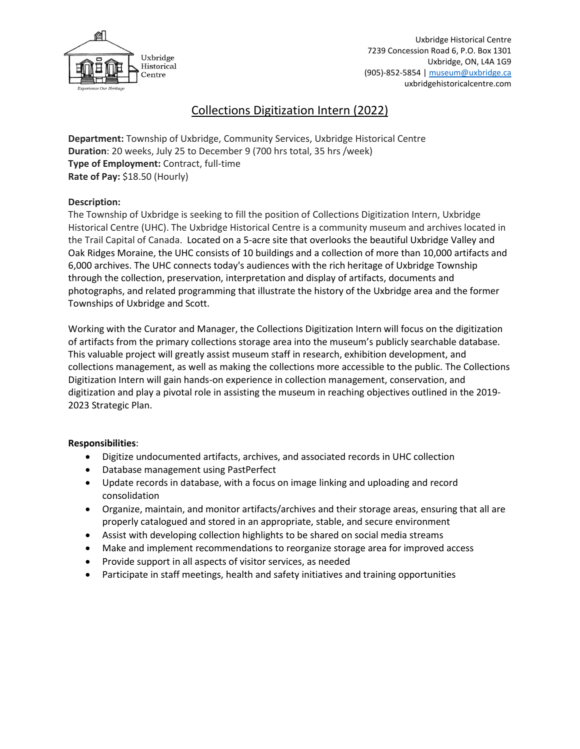

# Collections Digitization Intern (2022)

**Department:** Township of Uxbridge, Community Services, Uxbridge Historical Centre **Duration**: 20 weeks, July 25 to December 9 (700 hrs total, 35 hrs /week) **Type of Employment:** Contract, full-time **Rate of Pay:** \$18.50 (Hourly)

### **Description:**

The Township of Uxbridge is seeking to fill the position of Collections Digitization Intern, Uxbridge Historical Centre (UHC). The Uxbridge Historical Centre is a community museum and archives located in the Trail Capital of Canada. Located on a 5-acre site that overlooks the beautiful Uxbridge Valley and Oak Ridges Moraine, the UHC consists of 10 buildings and a collection of more than 10,000 artifacts and 6,000 archives. The UHC connects today's audiences with the rich heritage of Uxbridge Township through the collection, preservation, interpretation and display of artifacts, documents and photographs, and related programming that illustrate the history of the Uxbridge area and the former Townships of Uxbridge and Scott.

Working with the Curator and Manager, the Collections Digitization Intern will focus on the digitization of artifacts from the primary collections storage area into the museum's publicly searchable database. This valuable project will greatly assist museum staff in research, exhibition development, and collections management, as well as making the collections more accessible to the public. The Collections Digitization Intern will gain hands-on experience in collection management, conservation, and digitization and play a pivotal role in assisting the museum in reaching objectives outlined in the 2019- 2023 Strategic Plan.

## **Responsibilities**:

- Digitize undocumented artifacts, archives, and associated records in UHC collection
- Database management using PastPerfect
- Update records in database, with a focus on image linking and uploading and record consolidation
- Organize, maintain, and monitor artifacts/archives and their storage areas, ensuring that all are properly catalogued and stored in an appropriate, stable, and secure environment
- Assist with developing collection highlights to be shared on social media streams
- Make and implement recommendations to reorganize storage area for improved access
- Provide support in all aspects of visitor services, as needed
- Participate in staff meetings, health and safety initiatives and training opportunities